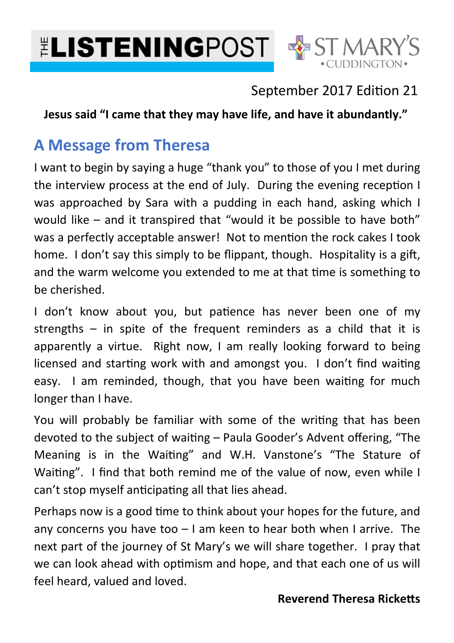



## September 2017 Edition 21

**Jesus said "I came that they may have life, and have it abundantly."**

# **A Message from Theresa**

I want to begin by saying a huge "thank you" to those of you I met during the interview process at the end of July. During the evening reception I was approached by Sara with a pudding in each hand, asking which I would like – and it transpired that "would it be possible to have both" was a perfectly acceptable answer! Not to mention the rock cakes I took home. I don't say this simply to be flippant, though. Hospitality is a gift, and the warm welcome you extended to me at that time is something to be cherished.

I don't know about you, but patience has never been one of my strengths – in spite of the frequent reminders as a child that it is apparently a virtue. Right now, I am really looking forward to being licensed and starting work with and amongst you. I don't find waiting easy. I am reminded, though, that you have been waiting for much longer than I have.

You will probably be familiar with some of the writing that has been devoted to the subject of waiting - Paula Gooder's Advent offering, "The Meaning is in the Waiting" and W.H. Vanstone's "The Stature of Waiting". I find that both remind me of the value of now, even while I can't stop myself anticipating all that lies ahead.

Perhaps now is a good time to think about your hopes for the future, and any concerns you have too  $-1$  am keen to hear both when I arrive. The next part of the journey of St Mary's we will share together. I pray that we can look ahead with optimism and hope, and that each one of us will feel heard, valued and loved.

#### **Reverend Theresa Ricketts**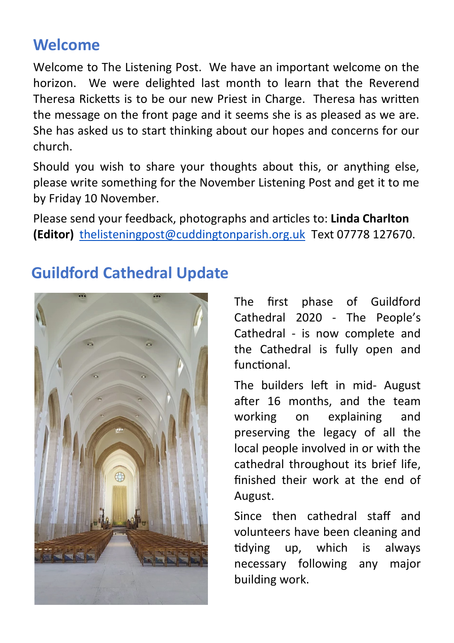# **Welcome**

Welcome to The Listening Post. We have an important welcome on the horizon. We were delighted last month to learn that the Reverend Theresa Ricketts is to be our new Priest in Charge. Theresa has written the message on the front page and it seems she is as pleased as we are. She has asked us to start thinking about our hopes and concerns for our church.

Should you wish to share your thoughts about this, or anything else, please write something for the November Listening Post and get it to me by Friday 10 November.

Please send your feedback, photographs and arcles to: **Linda Charlton (Editor)** thelisteningpost@cuddingtonparish.org.uk Text 07778 127670.

# **Guildford Cathedral Update**

The first phase of Guildford Cathedral 2020 - The People's Cathedral - is now complete and the Cathedral is fully open and functional.

The builders left in mid- August after 16 months, and the team working on explaining and preserving the legacy of all the local people involved in or with the cathedral throughout its brief life, finished their work at the end of August.

Since then cathedral staff and volunteers have been cleaning and tidying up, which is always necessary following any major building work.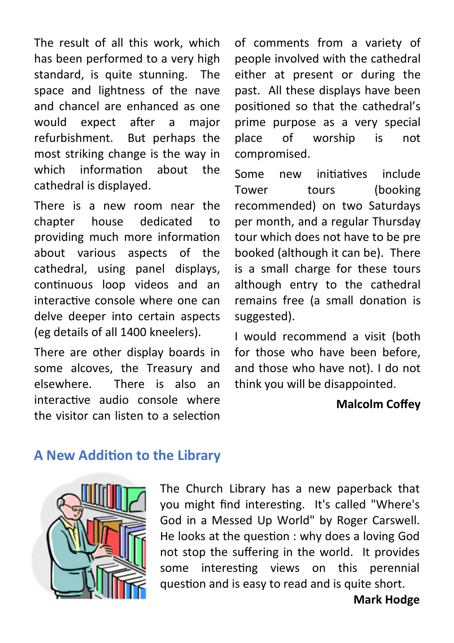The result of all this work, which has been performed to a very high standard, is quite stunning. The space and lightness of the nave and chancel are enhanced as one would expect after a major refurbishment. But perhaps the most striking change is the way in which information about the cathedral is displayed.

There is a new room near the chapter house dedicated to providing much more information about various aspects of the cathedral, using panel displays, continuous loop videos and an interactive console where one can delve deeper into certain aspects (eg details of all 1400 kneelers).

There are other display boards in some alcoves, the Treasury and elsewhere. There is also an interactive audio console where the visitor can listen to a selection

of comments from a variety of people involved with the cathedral either at present or during the past. All these displays have been positioned so that the cathedral's prime purpose as a very special place of worship is not compromised.

Some new initiatives include Tower tours (booking recommended) on two Saturdays per month, and a regular Thursday tour which does not have to be pre booked (although it can be). There is a small charge for these tours although entry to the cathedral remains free (a small donation is suggested).

I would recommend a visit (both for those who have been before, and those who have not). I do not think you will be disappointed.

#### **Malcolm Coffey**

### **A New Addition to the Library**



The Church Library has a new paperback that you might find interesting. It's called "Where's God in a Messed Up World" by Roger Carswell. He looks at the question : why does a loving God not stop the suffering in the world. It provides some interesting views on this perennial question and is easy to read and is quite short.